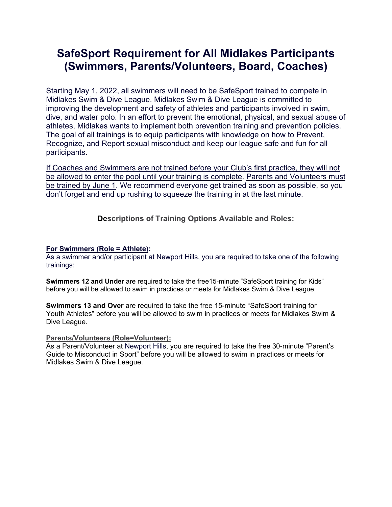## **SafeSport Requirement for All Midlakes Participants (Swimmers, Parents/Volunteers, Board, Coaches)**

Starting May 1, 2022, all swimmers will need to be SafeSport trained to compete in Midlakes Swim & Dive League. Midlakes Swim & Dive League is committed to improving the development and safety of athletes and participants involved in swim, dive, and water polo. In an effort to prevent the emotional, physical, and sexual abuse of athletes, Midlakes wants to implement both prevention training and prevention policies. The goal of all trainings is to equip participants with knowledge on how to Prevent, Recognize, and Report sexual misconduct and keep our league safe and fun for all participants.

If Coaches and Swimmers are not trained before your Club's first practice, they will not be allowed to enter the pool until your training is complete. Parents and Volunteers must be trained by June 1. We recommend everyone get trained as soon as possible, so you don't forget and end up rushing to squeeze the training in at the last minute.

**Descriptions of Training Options Available and Roles:**

## **For Swimmers (Role = Athlete):**

As a swimmer and/or participant at Newport Hills, you are required to take one of the following trainings:

**Swimmers 12 and Under** are required to take the free15-minute "SafeSport training for Kids" before you will be allowed to swim in practices or meets for Midlakes Swim & Dive League.

**Swimmers 13 and Over** are required to take the free 15-minute "SafeSport training for Youth Athletes" before you will be allowed to swim in practices or meets for Midlakes Swim & Dive League.

## **Parents/Volunteers (Role=Volunteer):**

As a Parent/Volunteer at Newport Hills, you are required to take the free 30-minute "Parent's Guide to Misconduct in Sport" before you will be allowed to swim in practices or meets for Midlakes Swim & Dive League.